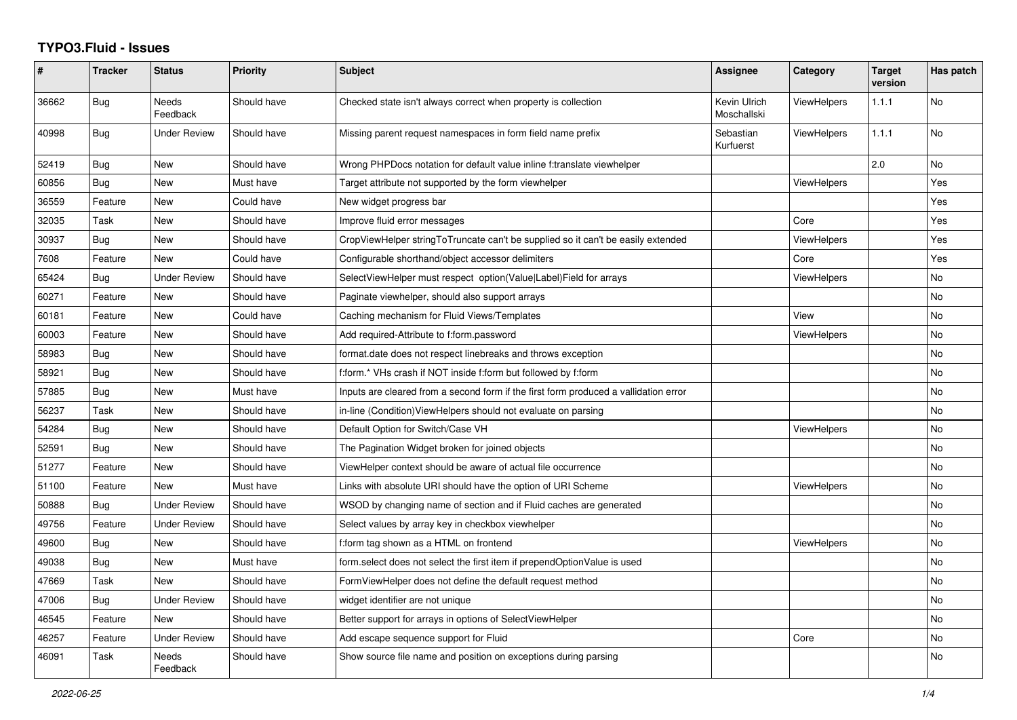## **TYPO3.Fluid - Issues**

| #     | <b>Tracker</b> | <b>Status</b>            | <b>Priority</b> | <b>Subject</b>                                                                       | Assignee                    | Category           | <b>Target</b><br>version | Has patch |
|-------|----------------|--------------------------|-----------------|--------------------------------------------------------------------------------------|-----------------------------|--------------------|--------------------------|-----------|
| 36662 | Bug            | <b>Needs</b><br>Feedback | Should have     | Checked state isn't always correct when property is collection                       | Kevin Ulrich<br>Moschallski | ViewHelpers        | 1.1.1                    | <b>No</b> |
| 40998 | <b>Bug</b>     | <b>Under Review</b>      | Should have     | Missing parent request namespaces in form field name prefix                          | Sebastian<br>Kurfuerst      | <b>ViewHelpers</b> | 1.1.1                    | <b>No</b> |
| 52419 | <b>Bug</b>     | <b>New</b>               | Should have     | Wrong PHPDocs notation for default value inline f:translate viewhelper               |                             |                    | 2.0                      | No        |
| 60856 | Bug            | New                      | Must have       | Target attribute not supported by the form viewhelper                                |                             | <b>ViewHelpers</b> |                          | Yes       |
| 36559 | Feature        | New                      | Could have      | New widget progress bar                                                              |                             |                    |                          | Yes       |
| 32035 | Task           | New                      | Should have     | Improve fluid error messages                                                         |                             | Core               |                          | Yes       |
| 30937 | <b>Bug</b>     | <b>New</b>               | Should have     | CropViewHelper stringToTruncate can't be supplied so it can't be easily extended     |                             | <b>ViewHelpers</b> |                          | Yes       |
| 7608  | Feature        | <b>New</b>               | Could have      | Configurable shorthand/object accessor delimiters                                    |                             | Core               |                          | Yes       |
| 65424 | Bug            | Under Review             | Should have     | SelectViewHelper must respect option(Value Label)Field for arrays                    |                             | ViewHelpers        |                          | No        |
| 60271 | Feature        | New                      | Should have     | Paginate viewhelper, should also support arrays                                      |                             |                    |                          | No        |
| 60181 | Feature        | <b>New</b>               | Could have      | Caching mechanism for Fluid Views/Templates                                          |                             | View               |                          | No        |
| 60003 | Feature        | New                      | Should have     | Add required-Attribute to f:form.password                                            |                             | <b>ViewHelpers</b> |                          | <b>No</b> |
| 58983 | <b>Bug</b>     | New                      | Should have     | format.date does not respect linebreaks and throws exception                         |                             |                    |                          | No        |
| 58921 | <b>Bug</b>     | New                      | Should have     | f:form.* VHs crash if NOT inside f:form but followed by f:form                       |                             |                    |                          | No        |
| 57885 | Bug            | New                      | Must have       | Inputs are cleared from a second form if the first form produced a vallidation error |                             |                    |                          | No        |
| 56237 | Task           | <b>New</b>               | Should have     | in-line (Condition) View Helpers should not evaluate on parsing                      |                             |                    |                          | <b>No</b> |
| 54284 | <b>Bug</b>     | New                      | Should have     | Default Option for Switch/Case VH                                                    |                             | <b>ViewHelpers</b> |                          | No        |
| 52591 | Bug            | New                      | Should have     | The Pagination Widget broken for joined objects                                      |                             |                    |                          | No        |
| 51277 | Feature        | New                      | Should have     | ViewHelper context should be aware of actual file occurrence                         |                             |                    |                          | No        |
| 51100 | Feature        | New                      | Must have       | Links with absolute URI should have the option of URI Scheme                         |                             | ViewHelpers        |                          | <b>No</b> |
| 50888 | Bug            | <b>Under Review</b>      | Should have     | WSOD by changing name of section and if Fluid caches are generated                   |                             |                    |                          | <b>No</b> |
| 49756 | Feature        | <b>Under Review</b>      | Should have     | Select values by array key in checkbox viewhelper                                    |                             |                    |                          | No        |
| 49600 | <b>Bug</b>     | <b>New</b>               | Should have     | f:form tag shown as a HTML on frontend                                               |                             | <b>ViewHelpers</b> |                          | No        |
| 49038 | Bug            | New                      | Must have       | form select does not select the first item if prependOptionValue is used             |                             |                    |                          | No        |
| 47669 | Task           | New                      | Should have     | FormViewHelper does not define the default request method                            |                             |                    |                          | <b>No</b> |
| 47006 | <b>Bug</b>     | <b>Under Review</b>      | Should have     | widget identifier are not unique                                                     |                             |                    |                          | No        |
| 46545 | Feature        | <b>New</b>               | Should have     | Better support for arrays in options of SelectViewHelper                             |                             |                    |                          | No        |
| 46257 | Feature        | Under Review             | Should have     | Add escape sequence support for Fluid                                                |                             | Core               |                          | <b>No</b> |
| 46091 | Task           | Needs<br>Feedback        | Should have     | Show source file name and position on exceptions during parsing                      |                             |                    |                          | <b>No</b> |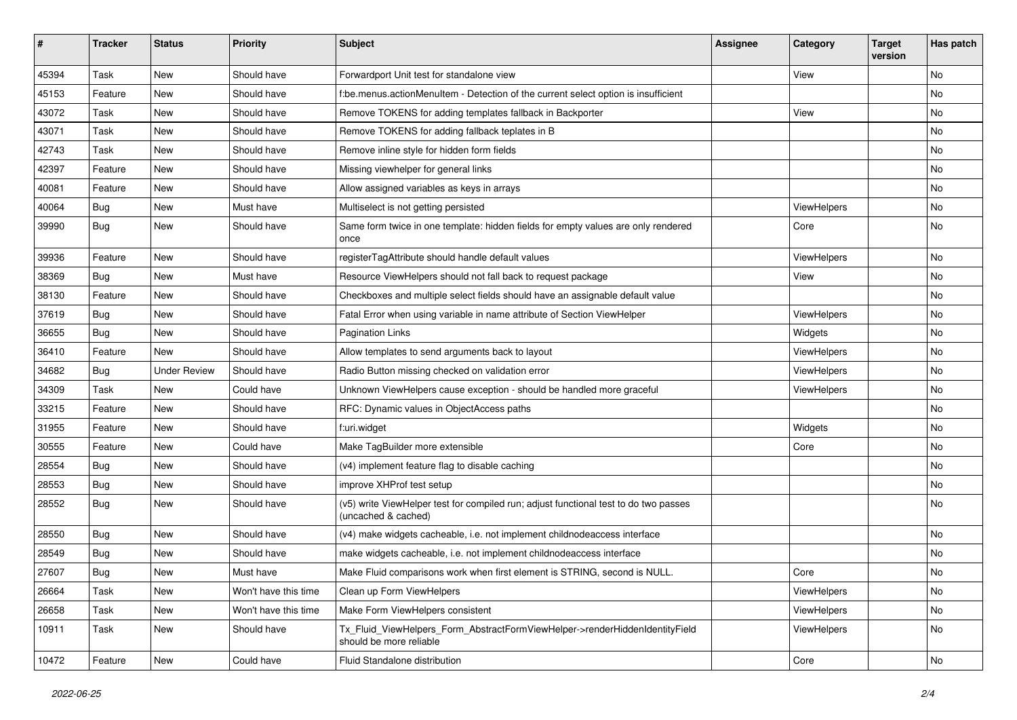| #     | <b>Tracker</b> | <b>Status</b>       | <b>Priority</b>      | <b>Subject</b>                                                                                              | <b>Assignee</b> | Category    | <b>Target</b><br>version | Has patch |
|-------|----------------|---------------------|----------------------|-------------------------------------------------------------------------------------------------------------|-----------------|-------------|--------------------------|-----------|
| 45394 | Task           | New                 | Should have          | Forwardport Unit test for standalone view                                                                   |                 | View        |                          | <b>No</b> |
| 45153 | Feature        | New                 | Should have          | f:be.menus.actionMenuItem - Detection of the current select option is insufficient                          |                 |             |                          | No        |
| 43072 | Task           | New                 | Should have          | Remove TOKENS for adding templates fallback in Backporter                                                   |                 | View        |                          | No        |
| 43071 | Task           | New                 | Should have          | Remove TOKENS for adding fallback teplates in B                                                             |                 |             |                          | No        |
| 42743 | Task           | New                 | Should have          | Remove inline style for hidden form fields                                                                  |                 |             |                          | No        |
| 42397 | Feature        | New                 | Should have          | Missing viewhelper for general links                                                                        |                 |             |                          | No        |
| 40081 | Feature        | New                 | Should have          | Allow assigned variables as keys in arrays                                                                  |                 |             |                          | No        |
| 40064 | Bug            | New                 | Must have            | Multiselect is not getting persisted                                                                        |                 | ViewHelpers |                          | No        |
| 39990 | Bug            | New                 | Should have          | Same form twice in one template: hidden fields for empty values are only rendered<br>once                   |                 | Core        |                          | No        |
| 39936 | Feature        | New                 | Should have          | registerTagAttribute should handle default values                                                           |                 | ViewHelpers |                          | <b>No</b> |
| 38369 | Bug            | New                 | Must have            | Resource ViewHelpers should not fall back to request package                                                |                 | View        |                          | No        |
| 38130 | Feature        | New                 | Should have          | Checkboxes and multiple select fields should have an assignable default value                               |                 |             |                          | No        |
| 37619 | Bug            | New                 | Should have          | Fatal Error when using variable in name attribute of Section ViewHelper                                     |                 | ViewHelpers |                          | No        |
| 36655 | Bug            | New                 | Should have          | <b>Pagination Links</b>                                                                                     |                 | Widgets     |                          | No        |
| 36410 | Feature        | New                 | Should have          | Allow templates to send arguments back to layout                                                            |                 | ViewHelpers |                          | No        |
| 34682 | Bug            | <b>Under Review</b> | Should have          | Radio Button missing checked on validation error                                                            |                 | ViewHelpers |                          | No        |
| 34309 | Task           | New                 | Could have           | Unknown ViewHelpers cause exception - should be handled more graceful                                       |                 | ViewHelpers |                          | No        |
| 33215 | Feature        | New                 | Should have          | RFC: Dynamic values in ObjectAccess paths                                                                   |                 |             |                          | <b>No</b> |
| 31955 | Feature        | New                 | Should have          | f:uri.widget                                                                                                |                 | Widgets     |                          | No        |
| 30555 | Feature        | New                 | Could have           | Make TagBuilder more extensible                                                                             |                 | Core        |                          | No        |
| 28554 | Bug            | New                 | Should have          | (v4) implement feature flag to disable caching                                                              |                 |             |                          | <b>No</b> |
| 28553 | Bug            | New                 | Should have          | improve XHProf test setup                                                                                   |                 |             |                          | No        |
| 28552 | Bug            | New                 | Should have          | (v5) write ViewHelper test for compiled run; adjust functional test to do two passes<br>(uncached & cached) |                 |             |                          | <b>No</b> |
| 28550 | Bug            | New                 | Should have          | (v4) make widgets cacheable, i.e. not implement childnodeaccess interface                                   |                 |             |                          | <b>No</b> |
| 28549 | <b>Bug</b>     | New                 | Should have          | make widgets cacheable, i.e. not implement childnodeaccess interface                                        |                 |             |                          | No        |
| 27607 | Bug            | New                 | Must have            | Make Fluid comparisons work when first element is STRING, second is NULL.                                   |                 | Core        |                          | No        |
| 26664 | Task           | New                 | Won't have this time | Clean up Form ViewHelpers                                                                                   |                 | ViewHelpers |                          | No        |
| 26658 | Task           | New                 | Won't have this time | Make Form ViewHelpers consistent                                                                            |                 | ViewHelpers |                          | No        |
| 10911 | Task           | New                 | Should have          | Tx_Fluid_ViewHelpers_Form_AbstractFormViewHelper->renderHiddenIdentityField<br>should be more reliable      |                 | ViewHelpers |                          | No        |
| 10472 | Feature        | New                 | Could have           | Fluid Standalone distribution                                                                               |                 | Core        |                          | No        |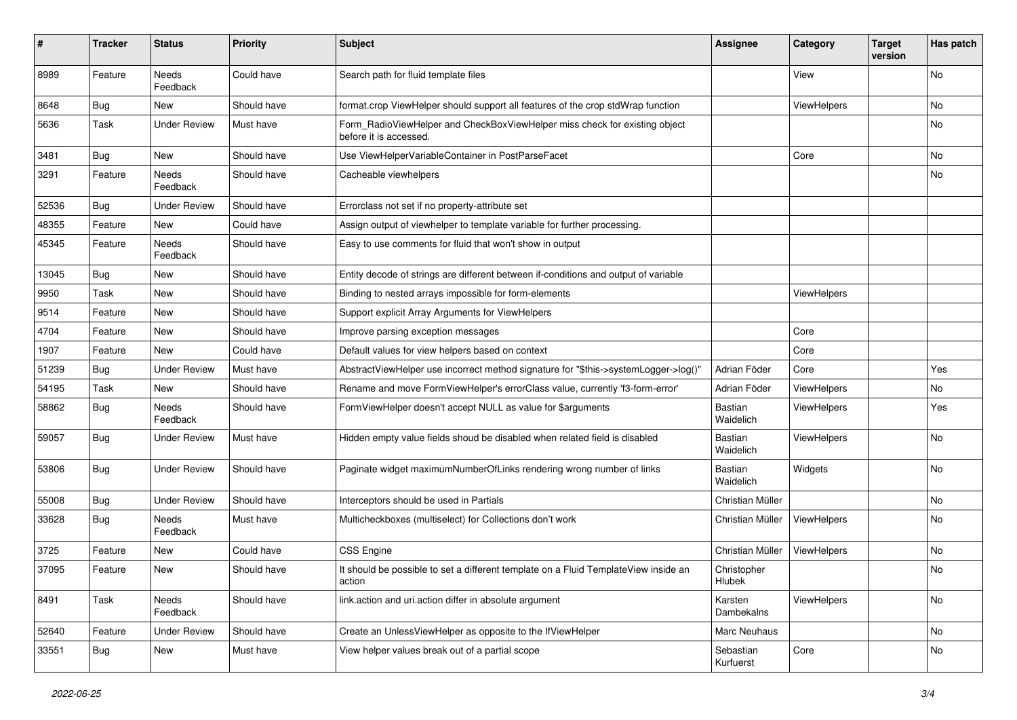| #     | <b>Tracker</b> | <b>Status</b>            | <b>Priority</b> | Subject                                                                                              | <b>Assignee</b>        | Category    | <b>Target</b><br>version | Has patch |
|-------|----------------|--------------------------|-----------------|------------------------------------------------------------------------------------------------------|------------------------|-------------|--------------------------|-----------|
| 8989  | Feature        | <b>Needs</b><br>Feedback | Could have      | Search path for fluid template files                                                                 |                        | View        |                          | <b>No</b> |
| 8648  | Bug            | New                      | Should have     | format.crop ViewHelper should support all features of the crop stdWrap function                      |                        | ViewHelpers |                          | No        |
| 5636  | Task           | <b>Under Review</b>      | Must have       | Form_RadioViewHelper and CheckBoxViewHelper miss check for existing object<br>before it is accessed. |                        |             |                          | No        |
| 3481  | Bug            | <b>New</b>               | Should have     | Use ViewHelperVariableContainer in PostParseFacet                                                    |                        | Core        |                          | No        |
| 3291  | Feature        | Needs<br>Feedback        | Should have     | Cacheable viewhelpers                                                                                |                        |             |                          | No        |
| 52536 | Bug            | <b>Under Review</b>      | Should have     | Errorclass not set if no property-attribute set                                                      |                        |             |                          |           |
| 48355 | Feature        | New                      | Could have      | Assign output of viewhelper to template variable for further processing.                             |                        |             |                          |           |
| 45345 | Feature        | Needs<br>Feedback        | Should have     | Easy to use comments for fluid that won't show in output                                             |                        |             |                          |           |
| 13045 | Bug            | New                      | Should have     | Entity decode of strings are different between if-conditions and output of variable                  |                        |             |                          |           |
| 9950  | Task           | New                      | Should have     | Binding to nested arrays impossible for form-elements                                                |                        | ViewHelpers |                          |           |
| 9514  | Feature        | New                      | Should have     | Support explicit Array Arguments for ViewHelpers                                                     |                        |             |                          |           |
| 4704  | Feature        | New                      | Should have     | Improve parsing exception messages                                                                   |                        | Core        |                          |           |
| 1907  | Feature        | New                      | Could have      | Default values for view helpers based on context                                                     |                        | Core        |                          |           |
| 51239 | Bug            | <b>Under Review</b>      | Must have       | AbstractViewHelper use incorrect method signature for "\$this->systemLogger->log()"                  | Adrian Föder           | Core        |                          | Yes       |
| 54195 | Task           | New                      | Should have     | Rename and move FormViewHelper's errorClass value, currently 'f3-form-error'                         | Adrian Föder           | ViewHelpers |                          | No        |
| 58862 | Bug            | <b>Needs</b><br>Feedback | Should have     | FormViewHelper doesn't accept NULL as value for \$arguments                                          | Bastian<br>Waidelich   | ViewHelpers |                          | Yes       |
| 59057 | Bug            | <b>Under Review</b>      | Must have       | Hidden empty value fields shoud be disabled when related field is disabled                           | Bastian<br>Waidelich   | ViewHelpers |                          | No        |
| 53806 | Bug            | <b>Under Review</b>      | Should have     | Paginate widget maximumNumberOfLinks rendering wrong number of links                                 | Bastian<br>Waidelich   | Widgets     |                          | No        |
| 55008 | Bug            | <b>Under Review</b>      | Should have     | Interceptors should be used in Partials                                                              | Christian Müller       |             |                          | No        |
| 33628 | <b>Bug</b>     | Needs<br>Feedback        | Must have       | Multicheckboxes (multiselect) for Collections don't work                                             | Christian Müller       | ViewHelpers |                          | No        |
| 3725  | Feature        | New                      | Could have      | <b>CSS Engine</b>                                                                                    | Christian Müller       | ViewHelpers |                          | No        |
| 37095 | Feature        | New                      | Should have     | It should be possible to set a different template on a Fluid TemplateView inside an<br>action        | Christopher<br>Hlubek  |             |                          | No        |
| 8491  | Task           | Needs<br>Feedback        | Should have     | link.action and uri.action differ in absolute argument                                               | Karsten<br>Dambekalns  | ViewHelpers |                          | No        |
| 52640 | Feature        | <b>Under Review</b>      | Should have     | Create an UnlessViewHelper as opposite to the IfViewHelper                                           | Marc Neuhaus           |             |                          | No        |
| 33551 | <b>Bug</b>     | New                      | Must have       | View helper values break out of a partial scope                                                      | Sebastian<br>Kurfuerst | Core        |                          | No        |